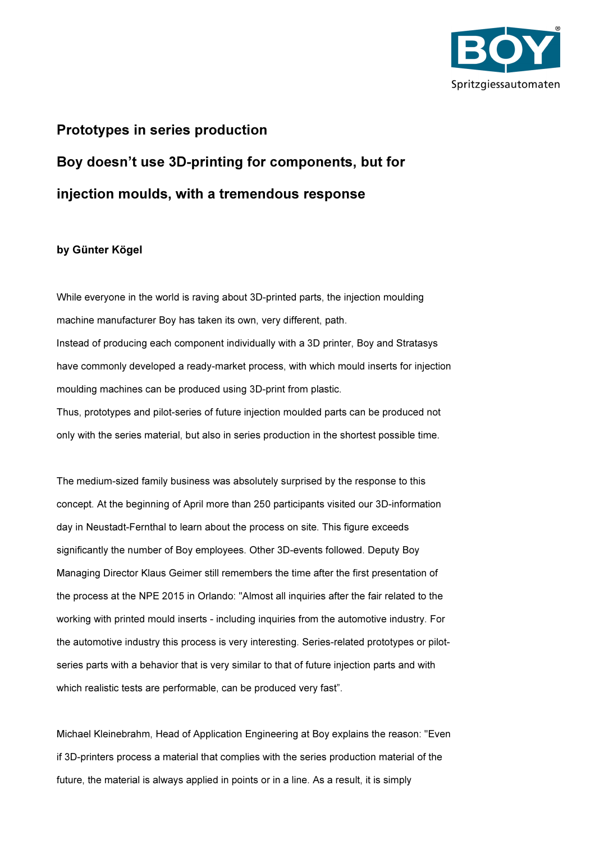

## Prototypes in series production Boy doesn't use 3D-printing for components, but for

## injection moulds, with a tremendous response

## by Günter Kögel

While everyone in the world is raving about 3D-printed parts, the injection moulding machine manufacturer Boy has taken its own, very different, path. Instead of producing each component individually with a 3D printer, Boy and Stratasys have commonly developed a ready-market process, with which mould inserts for injection moulding machines can be produced using 3D-print from plastic. Thus, prototypes and pilot-series of future injection moulded parts can be produced not only with the series material, but also in series production in the shortest possible time.

The medium-sized family business was absolutely surprised by the response to this concept. At the beginning of April more than 250 participants visited our 3D-information day in Neustadt-Fernthal to learn about the process on site. This figure exceeds significantly the number of Boy employees. Other 3D-events followed. Deputy Boy Managing Director Klaus Geimer still remembers the time after the first presentation of the process at the NPE 2015 in Orlando: "Almost all inquiries after the fair related to the working with printed mould inserts - including inquiries from the automotive industry. For the automotive industry this process is very interesting. Series-related prototypes or pilotseries parts with a behavior that is very similar to that of future injection parts and with which realistic tests are performable, can be produced very fast".

Michael Kleinebrahm, Head of Application Engineering at Boy explains the reason: "Even if 3D-printers process a material that complies with the series production material of the future, the material is always applied in points or in a line. As a result, it is simply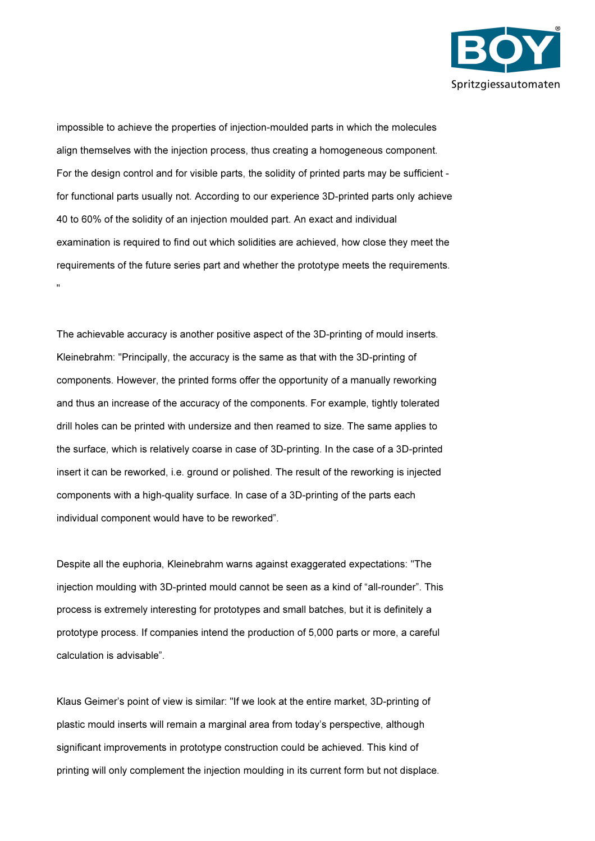

impossible to achieve the properties of injection-moulded parts in which the molecules align themselves with the injection process, thus creating a homogeneous component. For the design control and for visible parts, the solidity of printed parts may be sufficient for functional parts usually not. According to our experience 3D-printed parts only achieve 40 to 60% of the solidity of an injection moulded part. An exact and individual examination is required to find out which solidities are achieved, how close they meet the requirements of the future series part and whether the prototype meets the requirements. "

The achievable accuracy is another positive aspect of the 3D-printing of mould inserts. Kleinebrahm: "Principally, the accuracy is the same as that with the 3D-printing of components. However, the printed forms offer the opportunity of a manually reworking and thus an increase of the accuracy of the components. For example, tightly tolerated drill holes can be printed with undersize and then reamed to size. The same applies to the surface, which is relatively coarse in case of 3D-printing. In the case of a 3D-printed insert it can be reworked, i.e. ground or polished. The result of the reworking is injected components with a high-quality surface. In case of a 3D-printing of the parts each individual component would have to be reworked".

Despite all the euphoria, Kleinebrahm warns against exaggerated expectations: "The injection moulding with 3D-printed mould cannot be seen as a kind of "all-rounder". This process is extremely interesting for prototypes and small batches, but it is definitely a prototype process. If companies intend the production of 5,000 parts or more, a careful calculation is advisable".

Klaus Geimer's point of view is similar: "If we look at the entire market, 3D-printing of plastic mould inserts will remain a marginal area from today's perspective, although significant improvements in prototype construction could be achieved. This kind of printing will only complement the injection moulding in its current form but not displace.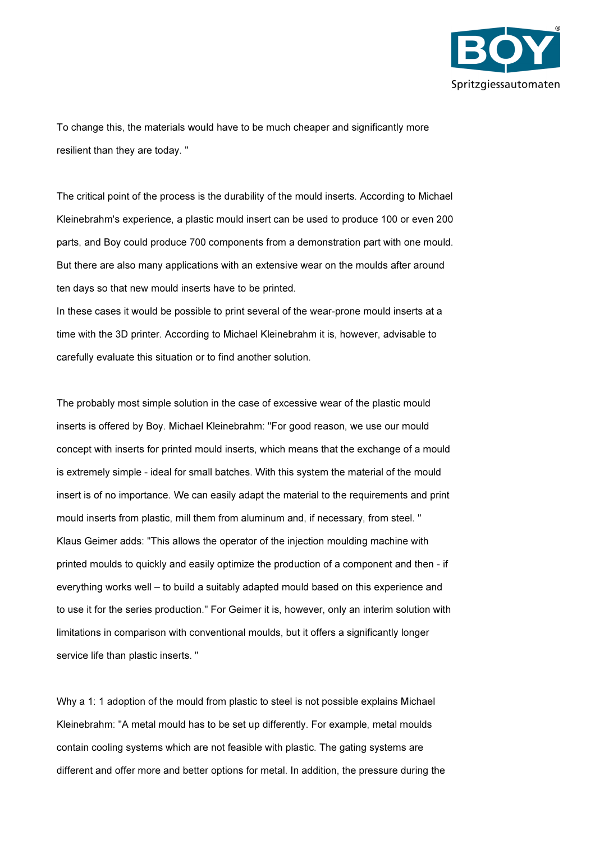

To change this, the materials would have to be much cheaper and significantly more resilient than they are today. "

The critical point of the process is the durability of the mould inserts. According to Michael Kleinebrahm's experience, a plastic mould insert can be used to produce 100 or even 200 parts, and Boy could produce 700 components from a demonstration part with one mould. But there are also many applications with an extensive wear on the moulds after around ten days so that new mould inserts have to be printed.

In these cases it would be possible to print several of the wear-prone mould inserts at a time with the 3D printer. According to Michael Kleinebrahm it is, however, advisable to carefully evaluate this situation or to find another solution.

The probably most simple solution in the case of excessive wear of the plastic mould inserts is offered by Boy. Michael Kleinebrahm: "For good reason, we use our mould concept with inserts for printed mould inserts, which means that the exchange of a mould is extremely simple - ideal for small batches. With this system the material of the mould insert is of no importance. We can easily adapt the material to the requirements and print mould inserts from plastic, mill them from aluminum and, if necessary, from steel. " Klaus Geimer adds: "This allows the operator of the injection moulding machine with printed moulds to quickly and easily optimize the production of a component and then - if everything works well – to build a suitably adapted mould based on this experience and to use it for the series production." For Geimer it is, however, only an interim solution with limitations in comparison with conventional moulds, but it offers a significantly longer service life than plastic inserts. "

Why a 1: 1 adoption of the mould from plastic to steel is not possible explains Michael Kleinebrahm: "A metal mould has to be set up differently. For example, metal moulds contain cooling systems which are not feasible with plastic. The gating systems are different and offer more and better options for metal. In addition, the pressure during the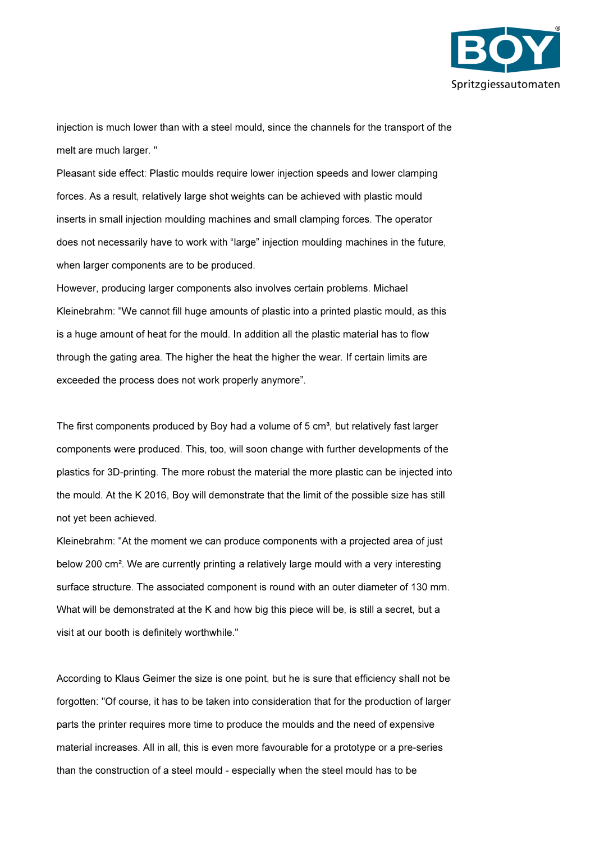

injection is much lower than with a steel mould, since the channels for the transport of the melt are much larger. "

Pleasant side effect: Plastic moulds require lower injection speeds and lower clamping forces. As a result, relatively large shot weights can be achieved with plastic mould inserts in small injection moulding machines and small clamping forces. The operator does not necessarily have to work with "large" injection moulding machines in the future, when larger components are to be produced.

However, producing larger components also involves certain problems. Michael Kleinebrahm: "We cannot fill huge amounts of plastic into a printed plastic mould, as this is a huge amount of heat for the mould. In addition all the plastic material has to flow through the gating area. The higher the heat the higher the wear. If certain limits are exceeded the process does not work properly anymore".

The first components produced by Boy had a volume of  $5 \text{ cm}^3$ , but relatively fast larger components were produced. This, too, will soon change with further developments of the plastics for 3D-printing. The more robust the material the more plastic can be injected into the mould. At the K 2016, Boy will demonstrate that the limit of the possible size has still not yet been achieved.

Kleinebrahm: "At the moment we can produce components with a projected area of just below 200 cm². We are currently printing a relatively large mould with a very interesting surface structure. The associated component is round with an outer diameter of 130 mm. What will be demonstrated at the K and how big this piece will be, is still a secret, but a visit at our booth is definitely worthwhile."

According to Klaus Geimer the size is one point, but he is sure that efficiency shall not be forgotten: "Of course, it has to be taken into consideration that for the production of larger parts the printer requires more time to produce the moulds and the need of expensive material increases. All in all, this is even more favourable for a prototype or a pre-series than the construction of a steel mould - especially when the steel mould has to be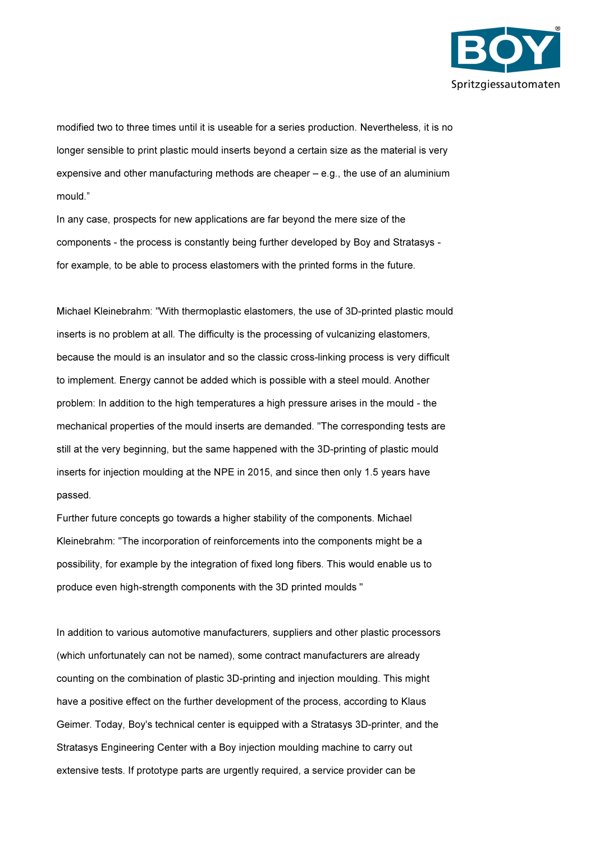

modified two to three times until it is useable for a series production. Nevertheless, it is no longer sensible to print plastic mould inserts beyond a certain size as the material is very expensive and other manufacturing methods are cheaper – e.g., the use of an aluminium mould."

In any case, prospects for new applications are far beyond the mere size of the components - the process is constantly being further developed by Boy and Stratasys for example, to be able to process elastomers with the printed forms in the future.

Michael Kleinebrahm: "With thermoplastic elastomers, the use of 3D-printed plastic mould inserts is no problem at all. The difficulty is the processing of vulcanizing elastomers, because the mould is an insulator and so the classic cross-linking process is very difficult to implement. Energy cannot be added which is possible with a steel mould. Another problem: In addition to the high temperatures a high pressure arises in the mould - the mechanical properties of the mould inserts are demanded. "The corresponding tests are still at the very beginning, but the same happened with the 3D-printing of plastic mould inserts for injection moulding at the NPE in 2015, and since then only 1.5 years have passed.

Further future concepts go towards a higher stability of the components. Michael Kleinebrahm: "The incorporation of reinforcements into the components might be a possibility, for example by the integration of fixed long fibers. This would enable us to produce even high-strength components with the 3D printed moulds "

In addition to various automotive manufacturers, suppliers and other plastic processors (which unfortunately can not be named), some contract manufacturers are already counting on the combination of plastic 3D-printing and injection moulding. This might have a positive effect on the further development of the process, according to Klaus Geimer. Today, Boy's technical center is equipped with a Stratasys 3D-printer, and the Stratasys Engineering Center with a Boy injection moulding machine to carry out extensive tests. If prototype parts are urgently required, a service provider can be